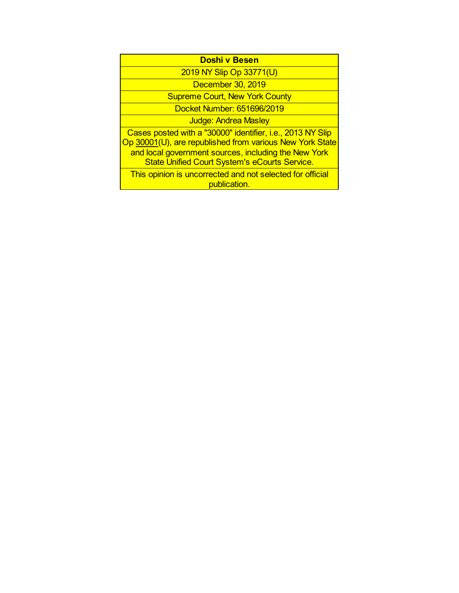| <b>Doshi v Besen</b> |  |  |
|----------------------|--|--|
|                      |  |  |

2019 NY Slip Op 33771(U)

December 30, 2019

Supreme Court, New York County

Docket Number: 651696/2019

Judge: Andrea Masley

Cases posted with a "30000" identifier, i.e., 2013 NY Slip Op 30001(U), are republished from various New York State and local government sources, including the New York State Unified Court System's eCourts Service.

This opinion is uncorrected and not selected for official publication.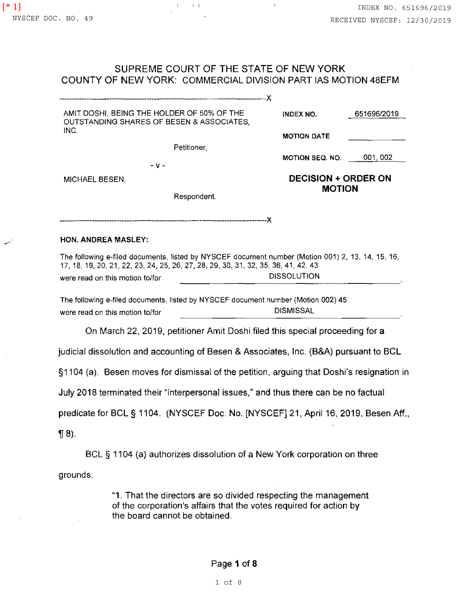المسمد

 $\alpha$ 

 $\sim$   $\sim$ 

## SUPREME COURT OF THE STATE OF NEW YORK COUNTY OF NEW YORK: COMMERCIAL DIVISION PART IAS MOTION 48EFM

 $\sim 1$ 

 $\frac{1}{2}$  I is  $\frac{1}{2}$  I if  $\frac{1}{2}$ 

 $\sim$   $^{-1}$ 

| AMIT DOSHI, BEING THE HOLDER OF 50% OF THE<br>OUTSTANDING SHARES OF BESEN & ASSOCIATES,                                                                                | <b>INDEX NO.</b>   | 651696/2019                                 |  |  |
|------------------------------------------------------------------------------------------------------------------------------------------------------------------------|--------------------|---------------------------------------------|--|--|
| INC.                                                                                                                                                                   | <b>MOTION DATE</b> |                                             |  |  |
| Petitioner,                                                                                                                                                            |                    |                                             |  |  |
| $-V -$                                                                                                                                                                 |                    | MOTION SEQ. NO. 001, 002                    |  |  |
| MICHAEL BESEN,                                                                                                                                                         |                    | <b>DECISION + ORDER ON</b><br><b>MOTION</b> |  |  |
| Respondent.                                                                                                                                                            |                    |                                             |  |  |
| HON. ANDREA MASLEY:<br>The following e-filed documents, listed by NYSCEF document number (Motion 001) 2, 13, 14, 15, 16,                                               |                    |                                             |  |  |
| 17, 18, 19, 20, 21, 22, 23, 24, 25, 26, 27, 28, 29, 30, 31, 32, 35, 36, 41, 42, 43                                                                                     |                    |                                             |  |  |
| were read on this motion to/for                                                                                                                                        | <b>DISSOLUTION</b> |                                             |  |  |
| The following e-filed documents, listed by NYSCEF document number (Motion 002) 45<br>were read on this motion to/for                                                   | <b>DISMISSAL</b>   |                                             |  |  |
| On March 22, 2019, petitioner Amit Doshi filed this special proceeding for a                                                                                           |                    |                                             |  |  |
| judicial dissolution and accounting of Besen & Associates, Inc. (B&A) pursuant to BCL                                                                                  |                    |                                             |  |  |
| §1104 (a). Besen moves for dismissal of the petition, arguing that Doshi's resignation in                                                                              |                    |                                             |  |  |
| July 2018 terminated their "interpersonal issues," and thus there can be no factual                                                                                    |                    |                                             |  |  |
| predicate for BCL § 1104. (NYSCEF Doc. No. [NYSCEF] 21, April 16, 2019, Besen Aff.,                                                                                    |                    |                                             |  |  |
| $\P(8)$ .                                                                                                                                                              |                    |                                             |  |  |
| BCL § 1104 (a) authorizes dissolution of a New York corporation on three                                                                                               |                    |                                             |  |  |
| grounds:                                                                                                                                                               |                    |                                             |  |  |
| "1. That the directors are so divided respecting the management<br>of the corporation's affairs that the votes required for action by<br>the board cannot be obtained. |                    |                                             |  |  |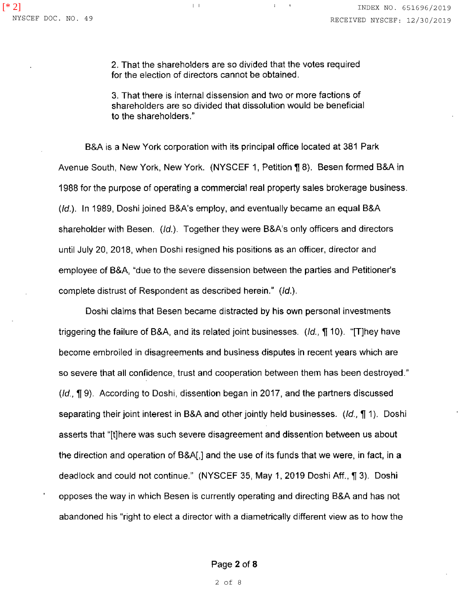2. That the shareholders are so divided that the votes required for the election of directors cannot be obtained.

3. That there is internal dissension and two or more factions of shareholders are so divided that dissolution would be beneficial to the shareholders."

B&A is a New York corporation with its principal office located at 381 Park Avenue South, New York, New York. (NYSCEF 1, Petition 18). Besen formed B&A in 1988 for the purpose of operating a commercial real property sales brokerage business. (Id.). In 1989, Doshi joined B&A's employ, and eventually became an equal B&A shareholder with Besen. (Id.). Together they were B&A's only officers and directors until July 20, 2018, when Doshi resigned his positions as an officer, director and employee of B&A, "due to the severe dissension between the parties and Petitioner's complete distrust of Respondent as described herein." (Id.).

Doshi claims that Besen became distracted by his own personal investments triggering the failure of B&A, and its related joint businesses. (*Id.*,  $\P$  10). "[T]hey have become embroiled in disagreements and business disputes in recent years which are so severe that all confidence, trust and cooperation between them has been destroyed."  $(id, \P 9)$ . According to Doshi, dissention began in 2017, and the partners discussed separating their joint interest in B&A and other jointly held businesses. (Id.,  $\P$  1). Doshi asserts that "{t]here was such severe disagreement and dissention between us about the direction and operation of B&A[,] and the use of its funds that we were, in fact, in a deadlock and could not continue." (NYSCEF 35, May 1, 2019 Doshi Aff., ¶ 3). Doshi opposes the way in which Besen is currently operating and directing B&A and has not abandoned his "right to elect a director with a diametrically different view as to how the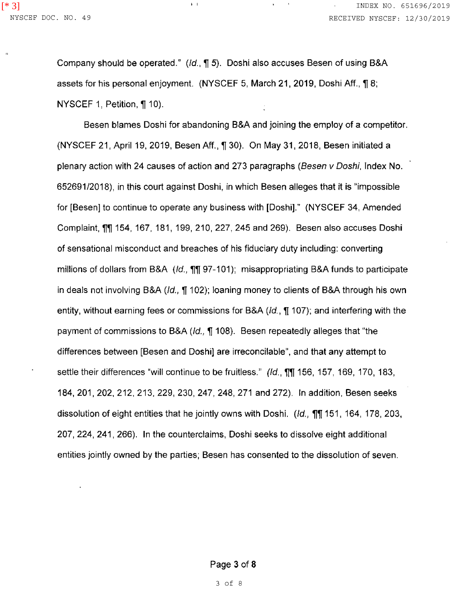Company should be operated." ( $Id$ .,  $\P$  5). Doshi also accuses Besen of using B&A assets for his personal enjoyment. (NYSCEF 5, March 21, 2019, Doshi Aff.,  $\P$  8; NYSCEF 1, Petition, ¶ 10).

 $\mathbf{I} = \mathbf{I}$ 

Besen blames Doshi for abandoning B&A and joining the employ of a competitor. (NYSCEF 21, April 19, 2019, Besen Aff., ¶ 30). On May 31, 2018, Besen initiated a plenary action with 24 causes of action and 273 paragraphs (Besen v Doshi, Index No. 65269112018), in this court against Doshi, in which Besen alleges that it is "impossible for [Besen] to continue to operate any business with [Doshi]." (NYSCEF 34, Amended Complaint, **11 154, 167, 181, 199, 210, 227, 245 and 269).** Besen also accuses Doshi of sensational misconduct and breaches of his fiduciary duty including: converting millions of dollars from B&A  $(d, \eta)$  97-101); misappropriating B&A funds to participate in deals not involving B&A ( $Id$ ,  $\P$  102); loaning money to clients of B&A through his own entity, without earning fees or commissions for B&A ( $Id$ ,  $\P$  107); and interfering with the payment of commissions to B&A (*Id.*,  $\P$  108). Besen repeatedly alleges that "the differences between [Besen and Doshi} are irreconcilable", and that any attempt to settle their differences "will continue to be fruitless." (Id., 1111, 156, 157, 169, 170, 183, 184, 201, 202, 212, 213, 229, 230, 247, 248, 271 and 272). In addition, Besen seeks dissolution of eight entities that he jointly owns with Doshi. (Id.,  $\eta$ , 151, 164, 178, 203, 207, 224, 241, 266). In the counterclaims, Doshi seeks to dissolve eight additional entities jointly owned by the parties; Besen has consented to the dissolution of seven.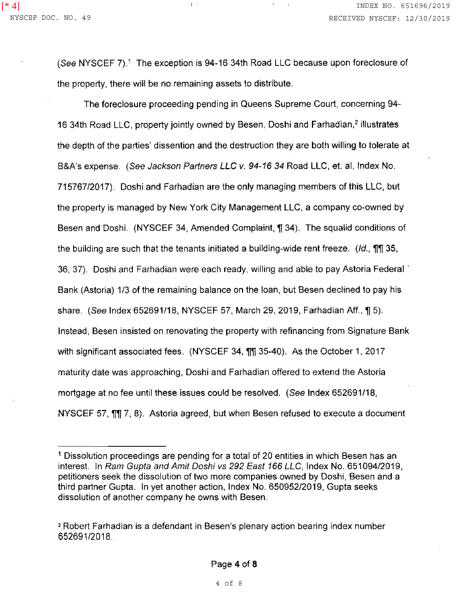(See NYSCEF 7).<sup>1</sup> The exception is 94-16 34th Road LLC because upon foreclosure of the property, there will be no remaining assets to distribute.

i.

 $\Gamma$  .

The foreclosure proceeding pending in Queens Supreme Court, concerning 94- 16 34th Road LLC, property jointly owned by Besen, Doshi and Farhadian,<sup>2</sup> illustrates the depth of the parties' dissention and the destruction they are both willing to tolerate at B&A's expense. (See Jackson Partners LLC v. 94-16 34 Road LLC, et. al, Index No. 715767/2017). Doshi and Farhadian are the only managing members of this LLC, but the property is managed by New York City Management LLC, a company co-owned by Besen and Doshi. (NYSCEF 34, Amended Complaint, ¶ 34). The squalid conditions of the building are such that the tenants initiated a building-wide rent freeze. *(Id.*, **11** 35, 36, 37). Doshi and Farhadian were each ready, willing and able to pay Astoria Federal · Bank (Astoria) 1/3 of the remaining balance on the loan, but Besen declined to pay his share. (See Index 652691/18, NYSCEF 57, March 29, 2019, Farhadian Aff.,  $\P$  5). Instead, Besen insisted on renovating the property with refinancing from Signature Bank with significant associated fees. (NYSCEF 34,  $\frac{1}{11}$  35-40). As the October 1, 2017 maturity date was approaching, Doshi and Farhadian offered to extend the Astoria mortgage at no fee until these issues could be resolved. (See Index 652691/18, NYSCEF 57,  $\eta$ ,  $\eta$ , 8). Astoria agreed, but when Besen refused to execute a document

<sup>1</sup>Dissolution proceedings are pending for a total of 20 entities in which Besen has an interest. In Ram Gupta and Amit Doshi vs 292 East 166 LLC, Index No. 651094/2019, petitioners seek the dissolution of two more companies owned by Doshi, Besen and a third partner Gupta. In yet another action, Index No. 650952/2019, Gupta seeks dissolution of another company he owns with Besen.

<sup>2</sup>Robert Farhadian is a defendant in Besen's plenary action bearing index number 65269112018.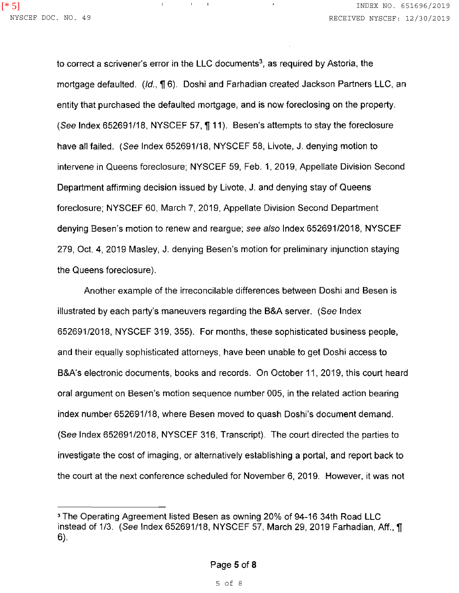to correct a scrivener's error in the LLC documents<sup>3</sup>, as required by Astoria, the mortgage defaulted. (Id., ¶ 6). Doshi and Farhadian created Jackson Partners LLC, an entity that purchased the defaulted mortgage, and is now foreclosing on the property. (See Index 652691/18, NYSCEF 57, 111). Besen's attempts to stay the foreclosure have all failed. (See Index 652691/18, NYSCEF 58, Livote, J. denying motion to intervene in Queens foreclosure; NYSCEF 59, Feb. 1, 2019, Appellate Division Second Department affirming decision issued by Livote, J. and denying stay of Queens foreclosure; NYSCEF 60, March 7, 2019, Appellate Division Second Department denying Besen's motion to renew and reargue; see also Index 652691/2018, NYSCEF 279, Oct. 4, 2019 Masley, J. denying Besen's motion for preliminary injunction staying the Queens foreclosure).

 $\mathbf{L}$ 

 $\sim 10^{-10}$  $\mathbf{I}$ 

Another example of the irreconcilable differences between Doshi and Besen is illustrated by each party's maneuvers regarding the B&A server. (See Index 652691/2018, NYSCEF 319, 355). For months, these sophisticated business people, and their equally sophisticated attorneys, have been unable to get Doshi access to B&A's electronic documents, books and records. On October 11, 2019, this court heard oral argument on Besen's motion sequence number 005, in the related action bearing index number 652691/18, where Besen moved to quash Doshi's document demand. (See Index 652691/2018, NYSCEF 316, Transcript). The court directed the parties to investigate the cost of imaging, or alternatively establishing a portal, and report back to the court at the next conference scheduled for November 6, 2019. However, it was not

<sup>3</sup>The Operating Agreement listed Besen as owning 20% of 94-16 34th Road LLC instead of 1/3. (See Index 652691/18, NYSCEF 57, March 29, 2019 Farhadian, Aff., ¶ 6).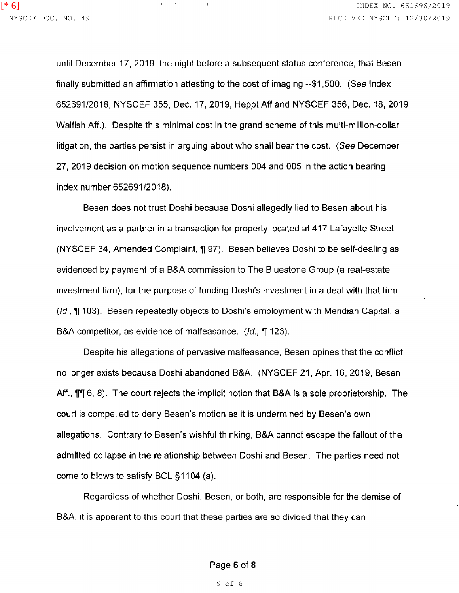until December 17, 2019, the night before a subsequent status conference, that Besen finally submitted an affirmation attesting to the cost of imaging --\$1,500. (See Index 652691/2018, NYSCEF 355, Dec. 17, 2019, Heppt Aff and NYSCEF 356, Dec. 18, 2019 Walfish Aff.). Despite this minimal cost in the grand scheme of this multi-million-dollar litigation, the parties persist in arguing about who shall bear the cost. (See December 27, 2019 decision on motion sequence numbers 004 and 005 in the action bearing index number 652691/2018).

 $\sim 10^{-10}$  and  $\sim 10^{-1}$ 

Besen does not trust Doshi because Doshi allegedly lied to Besen about his involvement as a partner in a transaction for property located at 417 Lafayette Street. (NYSCEF 34, Amended Complaint, ¶ 97). Besen believes Doshi to be self-dealing as evidenced by payment of a B&A commission to The Bluestone Group (a real-estate investment firm), for the purpose of funding Doshi's investment in a deal with that firm.  $(id, \P 103)$ . Besen repeatedly objects to Doshi's employment with Meridian Capital, a B&A competitor, as evidence of malfeasance. *(Id.,* 123).

Despite his allegations of pervasive malfeasance, Besen opines that the conflict no longer exists because Doshi abandoned B&A. (NYSCEF 21, Apr. 16, 2019, Besen Aff.,  $\P\P$  6, 8). The court rejects the implicit notion that B&A is a sole proprietorship. The court is compelled to deny Besen's motion as it is undermined by Besen's own allegations. Contrary to Besen's wishful thinking, B&A cannot escape the fallout of the admitted collapse in the relationship between Doshi and Besen. The parties need not come to blows to satisfy BCL §1104 (a).

Regardless of whether Doshi, Besen, or both, are responsible for the demise of B&A, it is apparent to this court that these parties are so divided that they can

## Page 6 of 8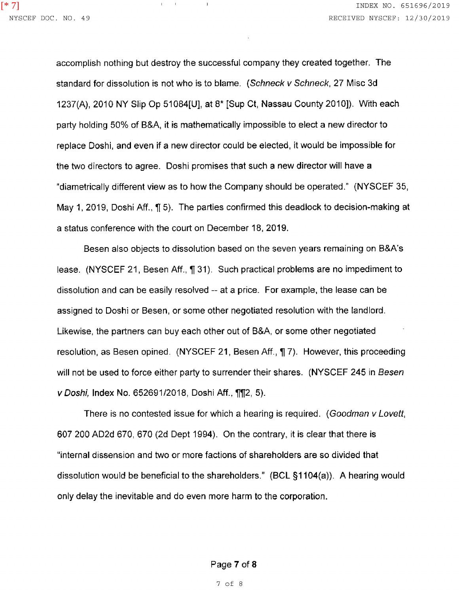accomplish nothing but destroy the successful company they created together. The standard for dissolution is not who is to blame. (Schneck v Schneck, 27 Misc 3d 1237(A), 2010 NY Slip Op 51084[U], at 8\* [Sup Ct, Nassau County 2010]). With each party holding 50% of B&A, it is mathematically impossible to elect a new director to replace Doshi, and even if a new director could be elected, it would be impossible for the two directors to agree. Doshi promises that such a new director will have a "diametrically different view as to how the Company should be operated." (NYSCEF 35, May 1, 2019, Doshi Aff.,  $\P$  5). The parties confirmed this deadlock to decision-making at a status conference with the court on December 18, 2019.

 $\Gamma$  .

 $\mathbf{1}$ 

Besen also objects to dissolution based on the seven years remaining on B&A's lease. (NYSCEF 21, Besen Aff., 1131). Such practical problems are no impediment to dissolution and can be easily resolved -- at a price. For example, the lease can be assigned to Doshi or Besen, or some other negotiated resolution with the landlord. Likewise, the partners can buy each other out of B&A, or some other negotiated resolution, as Besen opined. (NYSCEF 21, Besen Aff., 17). However, this proceeding will not be used to force either party to surrender their shares. (NYSCEF 245 in Besen v Doshi, Index No. 652691/2018, Doshi Aff., 112, 5).

There is no contested issue for which a hearing is required. (Goodman v Lovett, 607 200 AD2d 670, 670 (2d Dept 1994). On the contrary, it is clear that there is "internal dissension and two or more factions of shareholders are so divided that dissolution would be beneficial to the shareholders." (BCL §1104(a)). A hearing would only delay the inevitable and do even more harm to the corporation.

Page 7 of 8